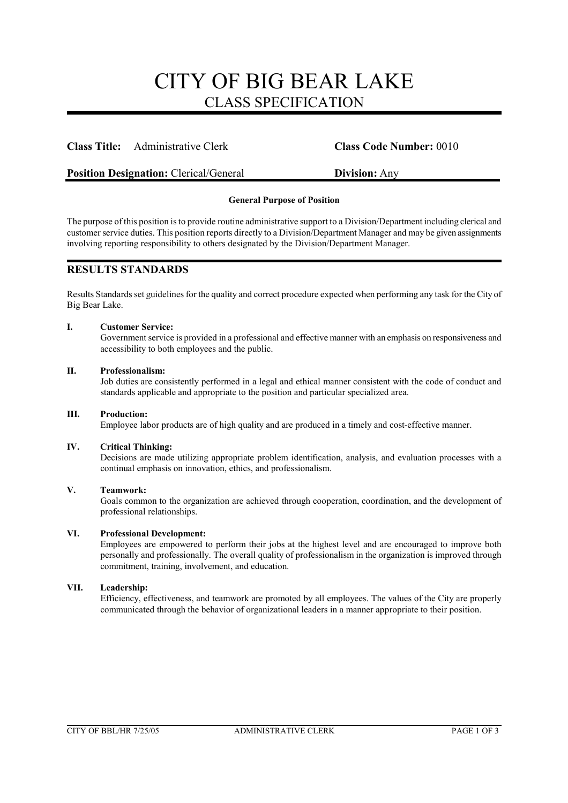# CITY OF BIG BEAR LAKE CLASS SPECIFICATION

# **Class Title:** Administrative Clerk **Class Code Number:** 0010

# **Position Designation:** Clerical/General **Division:** Any

# **General Purpose of Position**

The purpose of this position is to provide routine administrative support to a Division/Department including clerical and customer service duties. This position reports directly to a Division/Department Manager and may be given assignments involving reporting responsibility to others designated by the Division/Department Manager.

# **RESULTS STANDARDS**

Results Standards set guidelines for the quality and correct procedure expected when performing any task for the City of Big Bear Lake.

### **I. Customer Service:**

Government service is provided in a professional and effective manner with an emphasis on responsiveness and accessibility to both employees and the public.

# **II. Professionalism:**

Job duties are consistently performed in a legal and ethical manner consistent with the code of conduct and standards applicable and appropriate to the position and particular specialized area.

### **III. Production:**

Employee labor products are of high quality and are produced in a timely and cost-effective manner.

### **IV. Critical Thinking:**

Decisions are made utilizing appropriate problem identification, analysis, and evaluation processes with a continual emphasis on innovation, ethics, and professionalism.

### **V. Teamwork:**

Goals common to the organization are achieved through cooperation, coordination, and the development of professional relationships.

### **VI. Professional Development:**

Employees are empowered to perform their jobs at the highest level and are encouraged to improve both personally and professionally. The overall quality of professionalism in the organization is improved through commitment, training, involvement, and education.

### **VII. Leadership:**

Efficiency, effectiveness, and teamwork are promoted by all employees. The values of the City are properly communicated through the behavior of organizational leaders in a manner appropriate to their position.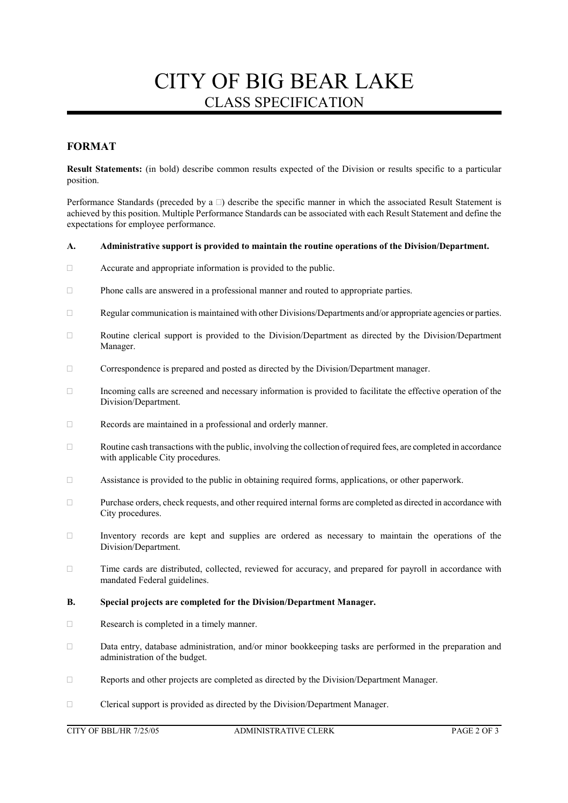# CITY OF BIG BEAR LAKE CLASS SPECIFICATION

# **FORMAT**

**Result Statements:** (in bold) describe common results expected of the Division or results specific to a particular position.

Performance Standards (preceded by a  $\Box$ ) describe the specific manner in which the associated Result Statement is achieved by this position. Multiple Performance Standards can be associated with each Result Statement and define the expectations for employee performance.

### **A. Administrative support is provided to maintain the routine operations of the Division/Department.**

- Accurate and appropriate information is provided to the public.
- Phone calls are answered in a professional manner and routed to appropriate parties.
- $\Box$  Regular communication is maintained with other Divisions/Departments and/or appropriate agencies or parties.
- Routine clerical support is provided to the Division/Department as directed by the Division/Department Manager.
- Correspondence is prepared and posted as directed by the Division/Department manager.
- Incoming calls are screened and necessary information is provided to facilitate the effective operation of the Division/Department.
- Records are maintained in a professional and orderly manner.
- $\Box$  Routine cash transactions with the public, involving the collection of required fees, are completed in accordance with applicable City procedures.
- $\Box$  Assistance is provided to the public in obtaining required forms, applications, or other paperwork.
- Purchase orders, check requests, and other required internal forms are completed as directed in accordance with City procedures.
- $\Box$  Inventory records are kept and supplies are ordered as necessary to maintain the operations of the Division/Department.
- $\Box$  Time cards are distributed, collected, reviewed for accuracy, and prepared for payroll in accordance with mandated Federal guidelines.

### **B. Special projects are completed for the Division/Department Manager.**

- Research is completed in a timely manner.
- Data entry, database administration, and/or minor bookkeeping tasks are performed in the preparation and administration of the budget.
- Reports and other projects are completed as directed by the Division/Department Manager.
- Clerical support is provided as directed by the Division/Department Manager.